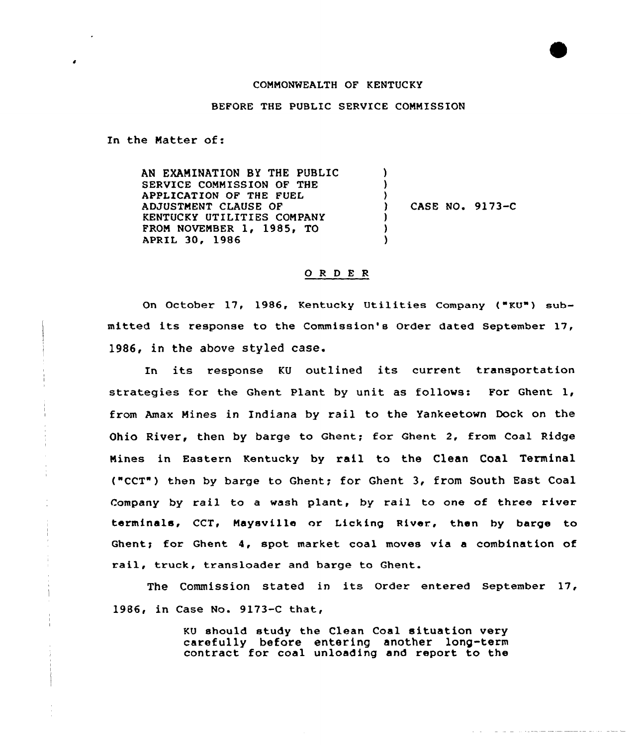## COMMONWEALTH OF KENTUCKY

## BEFORE THE PUBLIC SERVICE COMMISSION

In the Natter of:

AN EXAMINATION BY THE PUBLIC SERVICE COMMISSION OF THE APPLICATION OF THE FUEL ADJUSTMENT CLAUSE OF KENTUCKY UTILITIES COMPANY PROM NOVEMBER 1, 1985, TO APRIL 30, 1986 ) ) ) ) CASE NO. 9173-C ) ) )

## 0 <sup>R</sup> <sup>D</sup> E <sup>R</sup>

On October 17, 1986, Kentucky Utilities Company ("KU") submitted its response to the Commission's Order dated September 17, 1986, in the above styled case.

In its response KU outlined its current transportation strategies for the Ghent Plant by unit as follows: For Ghent 1, from Amax Nines in Indiana by rail to the Yankeetown Dock on the Ohio River, then by barge to Ghent; for Ghent 2, from Coal Ridge Nines in Eastern Kentucky by rail to the Clean Coal Terminal ("CCT") then by barge to Ghent; for Ghent 3, from South East Coal Company by rail to a wash plant, by rail to one of three river terminals, CCT, Maysville or Licking River, then by barge to Ghent; for Ghent 4, spot market coal moves via a combination of rail, truck, transloader and barge to Ghent.

The Commission stated in its Order entered September 17, 1986, in Case No. 9173-C that,

> KU should study the Clean Coal situation very carefully before entering another long-term contract for coal unloading and report to the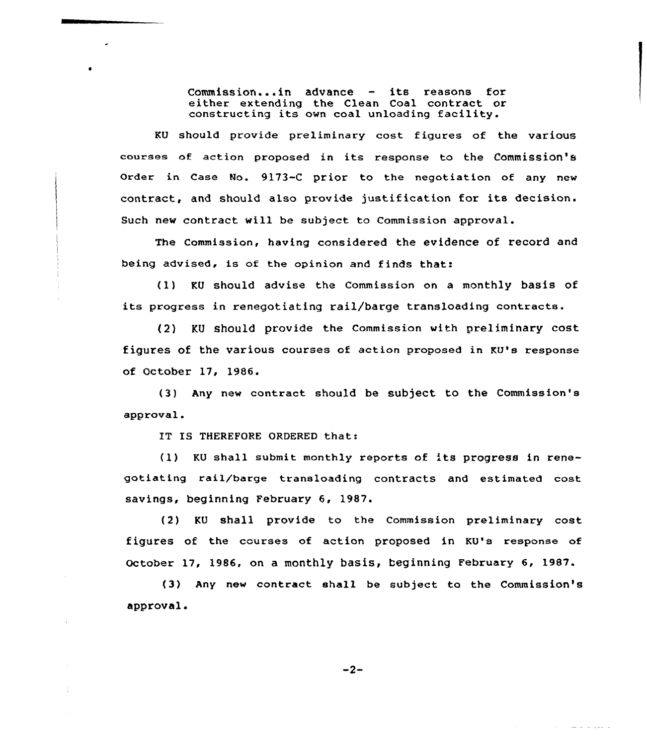Commission...in advance — its reasons for either extending the Clean Coal contract or constructing its own coal unloading facility.

KU should provide preliminary cost figures of the various courses of action proposed in its response to the Commission's Order in Case No. 9173-C prior to the negotiation of any new contract, and should also provide justification for its decision. Such new contract will be subject to Commission approval.

The Commission, having considered the evidence of record and being advised, is of the opinion and finds that:

(1) KU should advise the Commission on <sup>a</sup> monthly basis of its pxogress in renegotiating rail/'barge transloading contracts.

(2) KU should provide the Commission with preliminary cost figures of the various courses of action pxoposed in KU's response of October 17, 1986.

(3) Any new contract should be subject to the Commission's approval.

IT IS THEREFORE ORDERED that:

(1) KU shall submit monthly reports of 'ts progress in renegotiating rail/barge transloading contracts and estimated cost savings, beginning February 6, 1987.

{2) KU shall provide to the Commission preliminary cost figures of the courses of action proposed in KU's response of October 17, 1986, on a monthly basis, beginning February 6, 1987.

(3) Any new contract shall be subject to the Commission's approval.